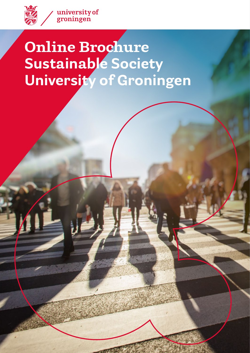

# **Online Brochure Sustainable Society University of Groningen**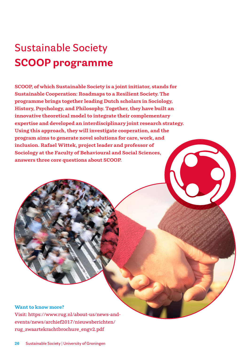# **Sustainable Society SCOOP programme**

**SCOOP, of which Sustainable Society is a joint initiator, stands for Sustainable Cooperation: Roadmaps to a Resilient Society. The programme brings together leading Dutch scholars in Sociology, History, Psychology, and Philosophy. Together, they have built an innovative theoretical model to integrate their complementary expertise and developed an interdisciplinary joint research strategy. Using this approach, they will investigate cooperation, and the program aims to generate novel solutions for care, work, and inclusion. Rafael Wittek, project leader and professor of Sociology at the Faculty of Behavioural and Social Sciences, answers three core questions about SCOOP.** 

#### **Want to know more?**

**Visit: https://www.rug.nl/about-us/news-andevents/news/archief2017/nieuwsberichten/ rug\_zwaartekrachtbrochure\_engv2.pdf**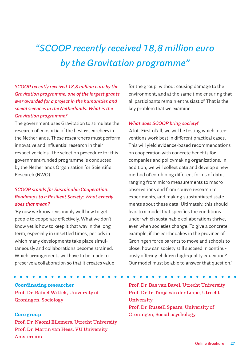# *"SCOOP recently received 18,8 million euro by the Gravitation programme"*

*SCOOP recently received 18,8 million euro by the Gravitation programme, one of the largest grants ever awarded for a project in the humanities and social sciences in the Netherlands. What is the Gravitation programme?*

The government uses Gravitation to stimulate the research of consortia of the best researchers in the Netherlands. These researchers must perform innovative and influential research in their respective fields. The selection procedure for this government-funded programme is conducted by the Netherlands Organisation for Scientific Research (NWO).

# *SCOOP stands for Sustainable Cooperation: Roadmaps to a Resilient Society: What exactly does that mean?*

'By now we know reasonably well how to get people to cooperate effectively. What we don't know yet is how to keep it that way in the long term, especially in unsettled times, periods in which many developments take place simultaneously and collaborations become strained. Which arrangements will have to be made to preserve a collaboration so that it creates value

**Coordinating researcher Prof. Dr. Rafael Wittek, University of Groningen, Sociology** 

### **Core group**

**Prof. Dr. Naomi Ellemers, Utrecht University Prof. Dr. Martin van Hees, VU University Amsterdam**

for the group, without causing damage to the environment, and at the same time ensuring that all participants remain enthusiastic? That is the key problem that we examine.'

### *What does SCOOP bring society?*

'A lot. First of all, we will be testing which interventions work best in different practical cases. This will yield evidence-based recommendations on cooperation with concrete benefits for companies and policymaking organizations. In addition, we will collect data and develop a new method of combining different forms of data, ranging from micro measurements to macro observations and from source research to experiments, and making substantiated statements about these data. Ultimately, this should lead to a model that specifies the conditions under which sustainable collaborations thrive, even when societies change. To give a concrete example, if the earthquakes in the province of Groningen force parents to move and schools to close, how can society still succeed in continuously offering children high-quality education? Our model must be able to answer that question.'

**Prof. Dr. Bas van Bavel, Utrecht University Prof. Dr. Ir. Tanja van der Lippe, Utrecht University Prof. Dr. Russell Spears, University of Groningen, Social psychology**